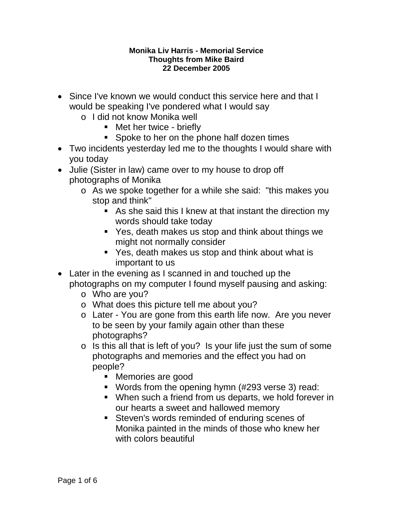## **Monika Liv Harris - Memorial Service Thoughts from Mike Baird 22 December 2005**

- Since I've known we would conduct this service here and that I would be speaking I've pondered what I would say
	- o I did not know Monika well
		- Met her twice briefly
		- **Spoke to her on the phone half dozen times**
- Two incidents yesterday led me to the thoughts I would share with you today
- Julie (Sister in law) came over to my house to drop off photographs of Monika
	- o As we spoke together for a while she said: "this makes you stop and think"
		- As she said this I knew at that instant the direction my words should take today
		- Yes, death makes us stop and think about things we might not normally consider
		- Yes, death makes us stop and think about what is important to us
- Later in the evening as I scanned in and touched up the photographs on my computer I found myself pausing and asking:
	- o Who are you?
	- o What does this picture tell me about you?
	- o Later You are gone from this earth life now. Are you never to be seen by your family again other than these photographs?
	- o Is this all that is left of you? Is your life just the sum of some photographs and memories and the effect you had on people?
		- Memories are good
		- Words from the opening hymn (#293 verse 3) read:
		- When such a friend from us departs, we hold forever in our hearts a sweet and hallowed memory
		- **Steven's words reminded of enduring scenes of** Monika painted in the minds of those who knew her with colors beautiful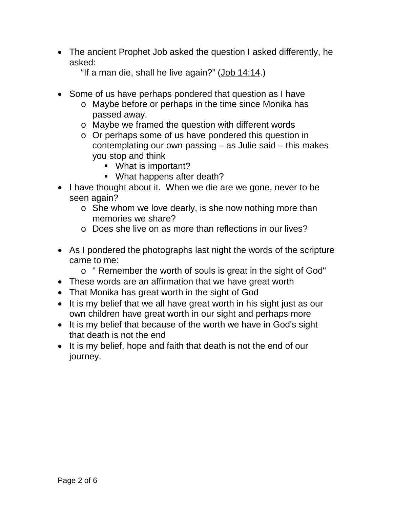• The ancient Prophet Job asked the question I asked differently, he asked:

"If a man die, shall he live again?" [\(Job 14:14.](http://scriptures.lds.org/job/14/14%2314))

- Some of us have perhaps pondered that question as I have
	- o Maybe before or perhaps in the time since Monika has passed away.
	- o Maybe we framed the question with different words
	- o Or perhaps some of us have pondered this question in contemplating our own passing – as Julie said – this makes you stop and think
		- **What is important?**
		- What happens after death?
- I have thought about it. When we die are we gone, never to be seen again?
	- o She whom we love dearly, is she now nothing more than memories we share?
	- o Does she live on as more than reflections in our lives?
- As I pondered the photographs last night the words of the scripture came to me:
	- o " Remember the worth of souls is great in the sight of God"
- These words are an affirmation that we have great worth
- That Monika has great worth in the sight of God
- It is my belief that we all have great worth in his sight just as our own children have great worth in our sight and perhaps more
- It is my belief that because of the worth we have in God's sight that death is not the end
- It is my belief, hope and faith that death is not the end of our journey.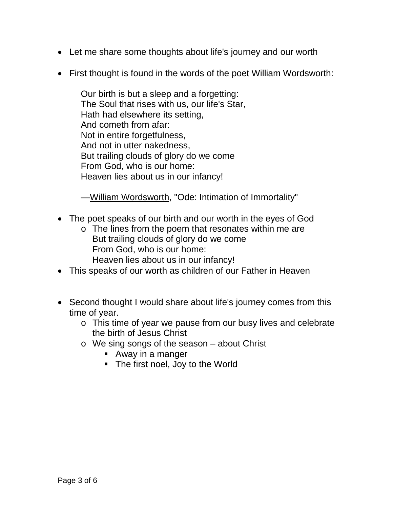- Let me share some thoughts about life's journey and our worth
- First thought is found in the words of the poet William Wordsworth:

Our birth is but a sleep and a forgetting: The Soul that rises with us, our life's Star, Hath had elsewhere its setting, And cometh from afar: Not in entire forgetfulness, And not in utter nakedness, But trailing clouds of glory do we come From God, who is our home: Heaven lies about us in our infancy!

[—William Wordsworth,](http://www.infoplease.com/cgi-bin/id/A0852717.html) "Ode: Intimation of Immortality"

- The poet speaks of our birth and our worth in the eyes of God
	- o The lines from the poem that resonates within me are But trailing clouds of glory do we come From God, who is our home: Heaven lies about us in our infancy!
- This speaks of our worth as children of our Father in Heaven
- Second thought I would share about life's journey comes from this time of year.
	- o This time of year we pause from our busy lives and celebrate the birth of Jesus Christ
	- o We sing songs of the season about Christ
		- Away in a manger
		- The first noel, Joy to the World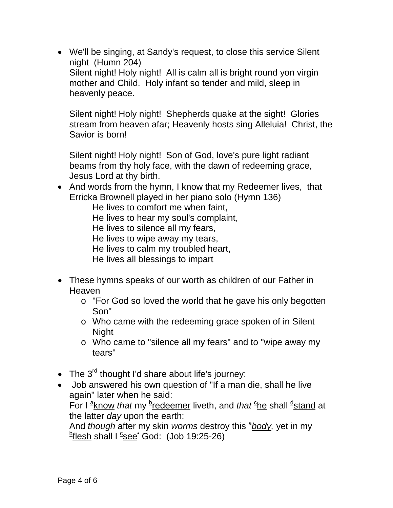• We'll be singing, at Sandy's request, to close this service Silent night (Humn 204) Silent night! Holy night! All is calm all is bright round yon virgin mother and Child. Holy infant so tender and mild, sleep in heavenly peace.

Silent night! Holy night! Shepherds quake at the sight! Glories stream from heaven afar; Heavenly hosts sing Alleluia! Christ, the Savior is born!

Silent night! Holy night! Son of God, love's pure light radiant beams from thy holy face, with the dawn of redeeming grace, Jesus Lord at thy birth.

• And words from the hymn, I know that my Redeemer lives, that Erricka Brownell played in her piano solo (Hymn 136)

He lives to comfort me when faint, He lives to hear my soul's complaint, He lives to silence all my fears, He lives to wipe away my tears, He lives to calm my troubled heart, He lives all blessings to impart

- These hymns speaks of our worth as children of our Father in **Heaven** 
	- o "For God so loved the world that he gave his only begotten Son"
	- o Who came with the redeeming grace spoken of in Silent Night
	- o Who came to "silence all my fears" and to "wipe away my tears"
- The  $3^{rd}$  thought I'd share about life's journey:
- Job answered his own question of "If a man die, shall he live again" later when he said:

For I  $\frac{\mathsf{a}_{\mathsf{Know}}}{\mathsf{A}}$  *that* my  $\frac{\mathsf{b}_{\mathsf{redeemer}}}{\mathsf{b}_{\mathsf{com}}}\$  $\frac{\mathsf{b}_{\mathsf{redeemer}}}{\mathsf{b}_{\mathsf{com}}}\$  $\frac{\mathsf{b}_{\mathsf{redeemer}}}{\mathsf{b}_{\mathsf{com}}}\$  liveth, and *that*  $\frac{\mathsf{c}_{\mathsf{he}}}{\mathsf{he}}$  $\frac{\mathsf{c}_{\mathsf{he}}}{\mathsf{he}}$  $\frac{\mathsf{c}_{\mathsf{he}}}{\mathsf{he}}$  shall  $\frac{\mathsf{d}_{\mathsf{stand}}}{\mathsf{A}}$  $\frac{\mathsf{d}_{\mathsf{stand}}}{\mathsf{A}}$  $\frac{\mathsf{d}_{\mathsf{stand}}}{\mathsf{A}}$  at the latter *day* upon the earth:

And *though* after my skin *worms* destroy this  $\frac{a_{\text{body}}}{b}$  yet in my <sup>b</sup>[flesh](http://scriptures.lds.org/job/job/19/26b%2326b) shall I <sup>c</sup>see<sup>•</sup> God: (Job 19:25-26)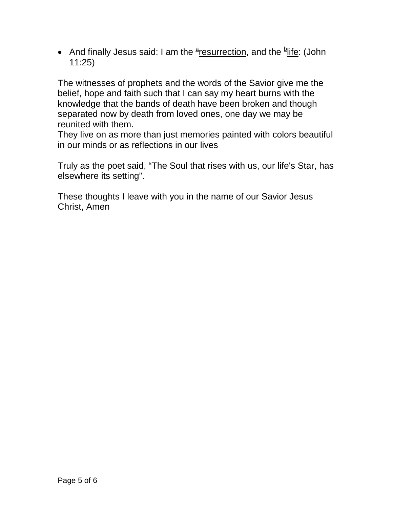• And finally Jesus said: I am the  $\frac{a_{\text{resurrence}}}{b}$  and the  $\frac{b_{\text{life}}}{c}$  (John 11:25)

The witnesses of prophets and the words of the Savior give me the belief, hope and faith such that I can say my heart burns with the knowledge that the bands of death have been broken and though separated now by death from loved ones, one day we may be reunited with them.

They live on as more than just memories painted with colors beautiful in our minds or as reflections in our lives

Truly as the poet said, "The Soul that rises with us, our life's Star, has elsewhere its setting".

These thoughts I leave with you in the name of our Savior Jesus Christ, Amen